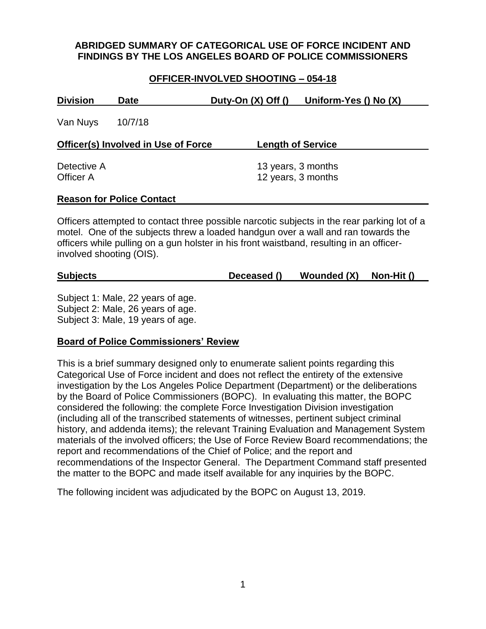## **ABRIDGED SUMMARY OF CATEGORICAL USE OF FORCE INCIDENT AND FINDINGS BY THE LOS ANGELES BOARD OF POLICE COMMISSIONERS**

### **OFFICER-INVOLVED SHOOTING – 054-18**

| <b>Division</b>          | <b>Date</b>                         | Duty-On $(X)$ Off $()$                   | Uniform-Yes () No (X) |
|--------------------------|-------------------------------------|------------------------------------------|-----------------------|
| Van Nuys                 | 10/7/18                             |                                          |                       |
|                          | Officer(s) Involved in Use of Force | <b>Length of Service</b>                 |                       |
| Detective A<br>Officer A |                                     | 13 years, 3 months<br>12 years, 3 months |                       |
|                          | <b>Reason for Police Contact</b>    |                                          |                       |

Officers attempted to contact three possible narcotic subjects in the rear parking lot of a motel. One of the subjects threw a loaded handgun over a wall and ran towards the officers while pulling on a gun holster in his front waistband, resulting in an officerinvolved shooting (OIS).

| <b>Subjects</b> | Deceased () | Wounded (X) | Non-Hit () |
|-----------------|-------------|-------------|------------|
|                 |             |             |            |

Subject 1: Male, 22 years of age. Subject 2: Male, 26 years of age. Subject 3: Male, 19 years of age.

### **Board of Police Commissioners' Review**

This is a brief summary designed only to enumerate salient points regarding this Categorical Use of Force incident and does not reflect the entirety of the extensive investigation by the Los Angeles Police Department (Department) or the deliberations by the Board of Police Commissioners (BOPC). In evaluating this matter, the BOPC considered the following: the complete Force Investigation Division investigation (including all of the transcribed statements of witnesses, pertinent subject criminal history, and addenda items); the relevant Training Evaluation and Management System materials of the involved officers; the Use of Force Review Board recommendations; the report and recommendations of the Chief of Police; and the report and recommendations of the Inspector General. The Department Command staff presented the matter to the BOPC and made itself available for any inquiries by the BOPC.

The following incident was adjudicated by the BOPC on August 13, 2019.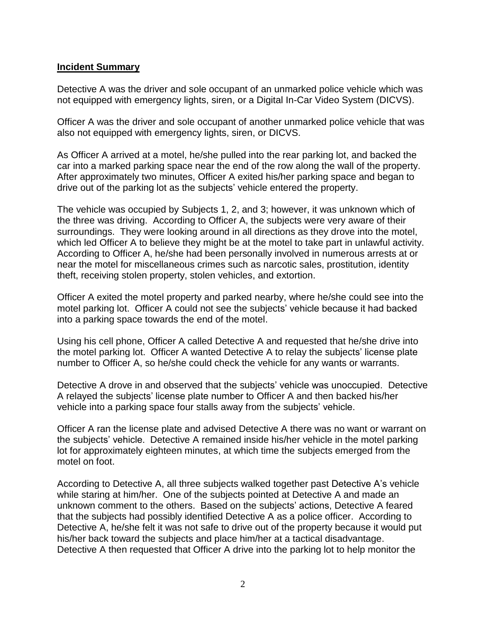## **Incident Summary**

Detective A was the driver and sole occupant of an unmarked police vehicle which was not equipped with emergency lights, siren, or a Digital In-Car Video System (DICVS).

Officer A was the driver and sole occupant of another unmarked police vehicle that was also not equipped with emergency lights, siren, or DICVS.

As Officer A arrived at a motel, he/she pulled into the rear parking lot, and backed the car into a marked parking space near the end of the row along the wall of the property. After approximately two minutes, Officer A exited his/her parking space and began to drive out of the parking lot as the subjects' vehicle entered the property.

The vehicle was occupied by Subjects 1, 2, and 3; however, it was unknown which of the three was driving. According to Officer A, the subjects were very aware of their surroundings. They were looking around in all directions as they drove into the motel, which led Officer A to believe they might be at the motel to take part in unlawful activity. According to Officer A, he/she had been personally involved in numerous arrests at or near the motel for miscellaneous crimes such as narcotic sales, prostitution, identity theft, receiving stolen property, stolen vehicles, and extortion.

Officer A exited the motel property and parked nearby, where he/she could see into the motel parking lot. Officer A could not see the subjects' vehicle because it had backed into a parking space towards the end of the motel.

Using his cell phone, Officer A called Detective A and requested that he/she drive into the motel parking lot. Officer A wanted Detective A to relay the subjects' license plate number to Officer A, so he/she could check the vehicle for any wants or warrants.

Detective A drove in and observed that the subjects' vehicle was unoccupied. Detective A relayed the subjects' license plate number to Officer A and then backed his/her vehicle into a parking space four stalls away from the subjects' vehicle.

Officer A ran the license plate and advised Detective A there was no want or warrant on the subjects' vehicle. Detective A remained inside his/her vehicle in the motel parking lot for approximately eighteen minutes, at which time the subjects emerged from the motel on foot.

According to Detective A, all three subjects walked together past Detective A's vehicle while staring at him/her. One of the subjects pointed at Detective A and made an unknown comment to the others. Based on the subjects' actions, Detective A feared that the subjects had possibly identified Detective A as a police officer. According to Detective A, he/she felt it was not safe to drive out of the property because it would put his/her back toward the subjects and place him/her at a tactical disadvantage. Detective A then requested that Officer A drive into the parking lot to help monitor the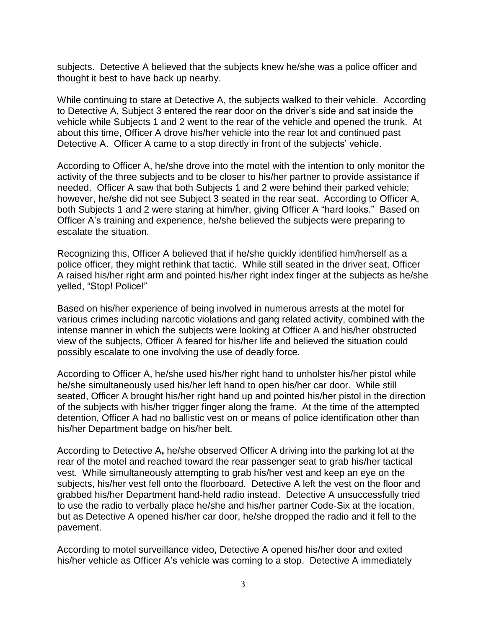subjects. Detective A believed that the subjects knew he/she was a police officer and thought it best to have back up nearby.

While continuing to stare at Detective A, the subjects walked to their vehicle. According to Detective A, Subject 3 entered the rear door on the driver's side and sat inside the vehicle while Subjects 1 and 2 went to the rear of the vehicle and opened the trunk. At about this time, Officer A drove his/her vehicle into the rear lot and continued past Detective A. Officer A came to a stop directly in front of the subjects' vehicle.

According to Officer A, he/she drove into the motel with the intention to only monitor the activity of the three subjects and to be closer to his/her partner to provide assistance if needed. Officer A saw that both Subjects 1 and 2 were behind their parked vehicle; however, he/she did not see Subject 3 seated in the rear seat. According to Officer A, both Subjects 1 and 2 were staring at him/her, giving Officer A "hard looks." Based on Officer A's training and experience, he/she believed the subjects were preparing to escalate the situation.

Recognizing this, Officer A believed that if he/she quickly identified him/herself as a police officer, they might rethink that tactic. While still seated in the driver seat, Officer A raised his/her right arm and pointed his/her right index finger at the subjects as he/she yelled, "Stop! Police!"

Based on his/her experience of being involved in numerous arrests at the motel for various crimes including narcotic violations and gang related activity, combined with the intense manner in which the subjects were looking at Officer A and his/her obstructed view of the subjects, Officer A feared for his/her life and believed the situation could possibly escalate to one involving the use of deadly force.

According to Officer A, he/she used his/her right hand to unholster his/her pistol while he/she simultaneously used his/her left hand to open his/her car door. While still seated, Officer A brought his/her right hand up and pointed his/her pistol in the direction of the subjects with his/her trigger finger along the frame. At the time of the attempted detention, Officer A had no ballistic vest on or means of police identification other than his/her Department badge on his/her belt.

According to Detective A**,** he/she observed Officer A driving into the parking lot at the rear of the motel and reached toward the rear passenger seat to grab his/her tactical vest. While simultaneously attempting to grab his/her vest and keep an eye on the subjects, his/her vest fell onto the floorboard. Detective A left the vest on the floor and grabbed his/her Department hand-held radio instead. Detective A unsuccessfully tried to use the radio to verbally place he/she and his/her partner Code-Six at the location, but as Detective A opened his/her car door, he/she dropped the radio and it fell to the pavement.

According to motel surveillance video, Detective A opened his/her door and exited his/her vehicle as Officer A's vehicle was coming to a stop. Detective A immediately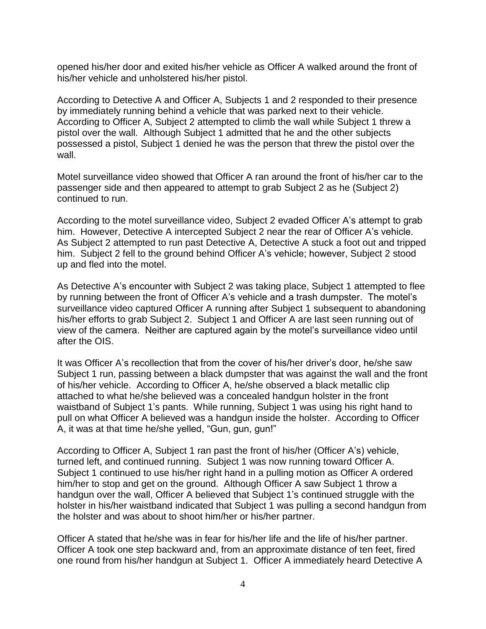opened his/her door and exited his/her vehicle as Officer A walked around the front of his/her vehicle and unholstered his/her pistol.

According to Detective A and Officer A, Subjects 1 and 2 responded to their presence by immediately running behind a vehicle that was parked next to their vehicle. According to Officer A, Subject 2 attempted to climb the wall while Subject 1 threw a pistol over the wall. Although Subject 1 admitted that he and the other subjects possessed a pistol, Subject 1 denied he was the person that threw the pistol over the wall.

Motel surveillance video showed that Officer A ran around the front of his/her car to the passenger side and then appeared to attempt to grab Subject 2 as he (Subject 2) continued to run.

According to the motel surveillance video, Subject 2 evaded Officer A's attempt to grab him. However, Detective A intercepted Subject 2 near the rear of Officer A's vehicle. As Subject 2 attempted to run past Detective A, Detective A stuck a foot out and tripped him. Subject 2 fell to the ground behind Officer A's vehicle; however, Subject 2 stood up and fled into the motel.

As Detective A's encounter with Subject 2 was taking place, Subject 1 attempted to flee by running between the front of Officer A's vehicle and a trash dumpster. The motel's surveillance video captured Officer A running after Subject 1 subsequent to abandoning his/her efforts to grab Subject 2. Subject 1 and Officer A are last seen running out of view of the camera. Neither are captured again by the motel's surveillance video until after the OIS.

It was Officer A's recollection that from the cover of his/her driver's door, he/she saw Subject 1 run, passing between a black dumpster that was against the wall and the front of his/her vehicle. According to Officer A, he/she observed a black metallic clip attached to what he/she believed was a concealed handgun holster in the front waistband of Subject 1's pants. While running, Subject 1 was using his right hand to pull on what Officer A believed was a handgun inside the holster. According to Officer A, it was at that time he/she yelled, "Gun, gun, gun!"

According to Officer A, Subject 1 ran past the front of his/her (Officer A's) vehicle, turned left, and continued running. Subject 1 was now running toward Officer A. Subject 1 continued to use his/her right hand in a pulling motion as Officer A ordered him/her to stop and get on the ground. Although Officer A saw Subject 1 throw a handgun over the wall, Officer A believed that Subject 1's continued struggle with the holster in his/her waistband indicated that Subject 1 was pulling a second handgun from the holster and was about to shoot him/her or his/her partner.

Officer A stated that he/she was in fear for his/her life and the life of his/her partner. Officer A took one step backward and, from an approximate distance of ten feet, fired one round from his/her handgun at Subject 1. Officer A immediately heard Detective A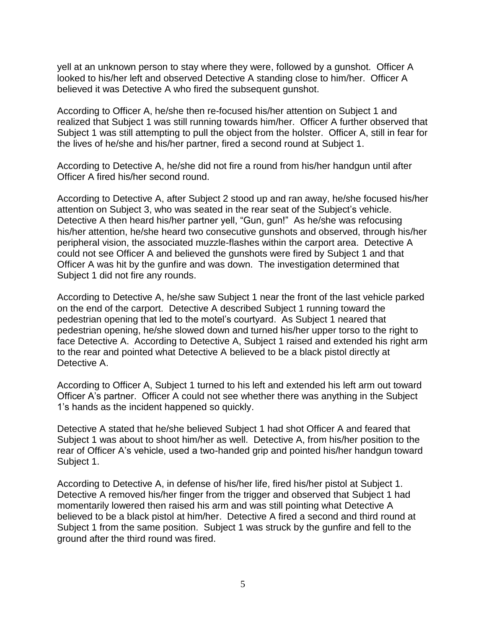yell at an unknown person to stay where they were, followed by a gunshot. Officer A looked to his/her left and observed Detective A standing close to him/her. Officer A believed it was Detective A who fired the subsequent gunshot.

According to Officer A, he/she then re-focused his/her attention on Subject 1 and realized that Subject 1 was still running towards him/her. Officer A further observed that Subject 1 was still attempting to pull the object from the holster. Officer A, still in fear for the lives of he/she and his/her partner, fired a second round at Subject 1.

According to Detective A, he/she did not fire a round from his/her handgun until after Officer A fired his/her second round.

According to Detective A, after Subject 2 stood up and ran away, he/she focused his/her attention on Subject 3, who was seated in the rear seat of the Subject's vehicle. Detective A then heard his/her partner yell, "Gun, gun!" As he/she was refocusing his/her attention, he/she heard two consecutive gunshots and observed, through his/her peripheral vision, the associated muzzle-flashes within the carport area. Detective A could not see Officer A and believed the gunshots were fired by Subject 1 and that Officer A was hit by the gunfire and was down. The investigation determined that Subject 1 did not fire any rounds.

According to Detective A, he/she saw Subject 1 near the front of the last vehicle parked on the end of the carport. Detective A described Subject 1 running toward the pedestrian opening that led to the motel's courtyard. As Subject 1 neared that pedestrian opening, he/she slowed down and turned his/her upper torso to the right to face Detective A. According to Detective A, Subject 1 raised and extended his right arm to the rear and pointed what Detective A believed to be a black pistol directly at Detective A.

According to Officer A, Subject 1 turned to his left and extended his left arm out toward Officer A's partner. Officer A could not see whether there was anything in the Subject 1's hands as the incident happened so quickly.

Detective A stated that he/she believed Subject 1 had shot Officer A and feared that Subject 1 was about to shoot him/her as well. Detective A, from his/her position to the rear of Officer A's vehicle, used a two-handed grip and pointed his/her handgun toward Subject 1.

According to Detective A, in defense of his/her life, fired his/her pistol at Subject 1. Detective A removed his/her finger from the trigger and observed that Subject 1 had momentarily lowered then raised his arm and was still pointing what Detective A believed to be a black pistol at him/her. Detective A fired a second and third round at Subject 1 from the same position. Subject 1 was struck by the gunfire and fell to the ground after the third round was fired.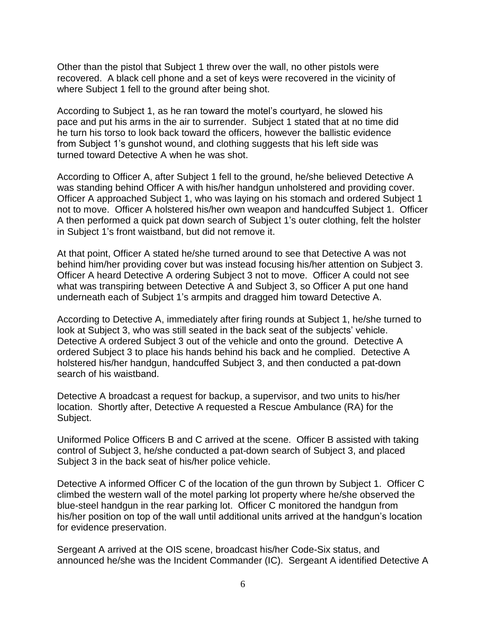Other than the pistol that Subject 1 threw over the wall, no other pistols were recovered. A black cell phone and a set of keys were recovered in the vicinity of where Subject 1 fell to the ground after being shot.

According to Subject 1, as he ran toward the motel's courtyard, he slowed his pace and put his arms in the air to surrender. Subject 1 stated that at no time did he turn his torso to look back toward the officers, however the ballistic evidence from Subject 1's gunshot wound, and clothing suggests that his left side was turned toward Detective A when he was shot.

According to Officer A, after Subject 1 fell to the ground, he/she believed Detective A was standing behind Officer A with his/her handgun unholstered and providing cover. Officer A approached Subject 1, who was laying on his stomach and ordered Subject 1 not to move. Officer A holstered his/her own weapon and handcuffed Subject 1. Officer A then performed a quick pat down search of Subject 1's outer clothing, felt the holster in Subject 1's front waistband, but did not remove it.

At that point, Officer A stated he/she turned around to see that Detective A was not behind him/her providing cover but was instead focusing his/her attention on Subject 3. Officer A heard Detective A ordering Subject 3 not to move. Officer A could not see what was transpiring between Detective A and Subject 3, so Officer A put one hand underneath each of Subject 1's armpits and dragged him toward Detective A.

According to Detective A, immediately after firing rounds at Subject 1, he/she turned to look at Subject 3, who was still seated in the back seat of the subjects' vehicle. Detective A ordered Subject 3 out of the vehicle and onto the ground. Detective A ordered Subject 3 to place his hands behind his back and he complied. Detective A holstered his/her handgun, handcuffed Subject 3, and then conducted a pat-down search of his waistband.

Detective A broadcast a request for backup, a supervisor, and two units to his/her location. Shortly after, Detective A requested a Rescue Ambulance (RA) for the Subject.

Uniformed Police Officers B and C arrived at the scene. Officer B assisted with taking control of Subject 3, he/she conducted a pat-down search of Subject 3, and placed Subject 3 in the back seat of his/her police vehicle.

Detective A informed Officer C of the location of the gun thrown by Subject 1. Officer C climbed the western wall of the motel parking lot property where he/she observed the blue-steel handgun in the rear parking lot. Officer C monitored the handgun from his/her position on top of the wall until additional units arrived at the handgun's location for evidence preservation.

Sergeant A arrived at the OIS scene, broadcast his/her Code-Six status, and announced he/she was the Incident Commander (IC). Sergeant A identified Detective A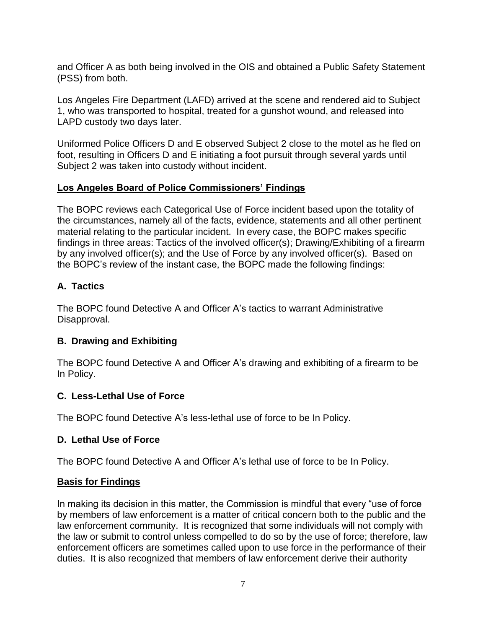and Officer A as both being involved in the OIS and obtained a Public Safety Statement (PSS) from both.

Los Angeles Fire Department (LAFD) arrived at the scene and rendered aid to Subject 1, who was transported to hospital, treated for a gunshot wound, and released into LAPD custody two days later.

Uniformed Police Officers D and E observed Subject 2 close to the motel as he fled on foot, resulting in Officers D and E initiating a foot pursuit through several yards until Subject 2 was taken into custody without incident.

### **Los Angeles Board of Police Commissioners' Findings**

The BOPC reviews each Categorical Use of Force incident based upon the totality of the circumstances, namely all of the facts, evidence, statements and all other pertinent material relating to the particular incident. In every case, the BOPC makes specific findings in three areas: Tactics of the involved officer(s); Drawing/Exhibiting of a firearm by any involved officer(s); and the Use of Force by any involved officer(s). Based on the BOPC's review of the instant case, the BOPC made the following findings:

# **A. Tactics**

The BOPC found Detective A and Officer A's tactics to warrant Administrative Disapproval.

## **B. Drawing and Exhibiting**

The BOPC found Detective A and Officer A's drawing and exhibiting of a firearm to be In Policy.

## **C. Less-Lethal Use of Force**

The BOPC found Detective A's less-lethal use of force to be In Policy.

## **D. Lethal Use of Force**

The BOPC found Detective A and Officer A's lethal use of force to be In Policy.

## **Basis for Findings**

In making its decision in this matter, the Commission is mindful that every "use of force by members of law enforcement is a matter of critical concern both to the public and the law enforcement community. It is recognized that some individuals will not comply with the law or submit to control unless compelled to do so by the use of force; therefore, law enforcement officers are sometimes called upon to use force in the performance of their duties. It is also recognized that members of law enforcement derive their authority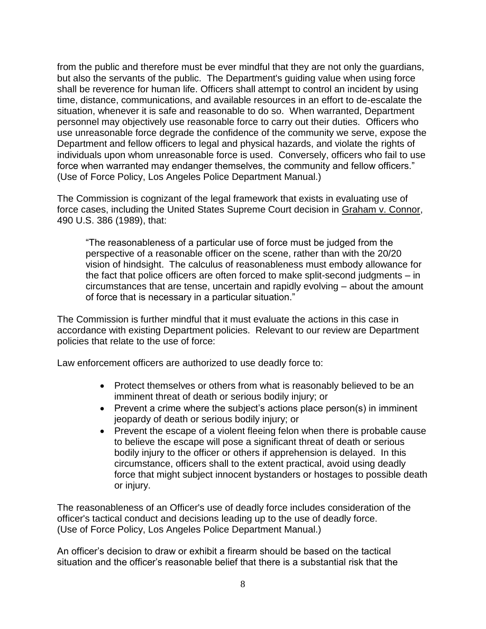from the public and therefore must be ever mindful that they are not only the guardians, but also the servants of the public. The Department's guiding value when using force shall be reverence for human life. Officers shall attempt to control an incident by using time, distance, communications, and available resources in an effort to de-escalate the situation, whenever it is safe and reasonable to do so. When warranted, Department personnel may objectively use reasonable force to carry out their duties. Officers who use unreasonable force degrade the confidence of the community we serve, expose the Department and fellow officers to legal and physical hazards, and violate the rights of individuals upon whom unreasonable force is used. Conversely, officers who fail to use force when warranted may endanger themselves, the community and fellow officers." (Use of Force Policy, Los Angeles Police Department Manual.)

The Commission is cognizant of the legal framework that exists in evaluating use of force cases, including the United States Supreme Court decision in Graham v. Connor, 490 U.S. 386 (1989), that:

"The reasonableness of a particular use of force must be judged from the perspective of a reasonable officer on the scene, rather than with the 20/20 vision of hindsight. The calculus of reasonableness must embody allowance for the fact that police officers are often forced to make split-second judgments – in circumstances that are tense, uncertain and rapidly evolving – about the amount of force that is necessary in a particular situation."

The Commission is further mindful that it must evaluate the actions in this case in accordance with existing Department policies. Relevant to our review are Department policies that relate to the use of force:

Law enforcement officers are authorized to use deadly force to:

- Protect themselves or others from what is reasonably believed to be an imminent threat of death or serious bodily injury; or
- Prevent a crime where the subject's actions place person(s) in imminent jeopardy of death or serious bodily injury; or
- Prevent the escape of a violent fleeing felon when there is probable cause to believe the escape will pose a significant threat of death or serious bodily injury to the officer or others if apprehension is delayed. In this circumstance, officers shall to the extent practical, avoid using deadly force that might subject innocent bystanders or hostages to possible death or injury.

The reasonableness of an Officer's use of deadly force includes consideration of the officer's tactical conduct and decisions leading up to the use of deadly force. (Use of Force Policy, Los Angeles Police Department Manual.)

An officer's decision to draw or exhibit a firearm should be based on the tactical situation and the officer's reasonable belief that there is a substantial risk that the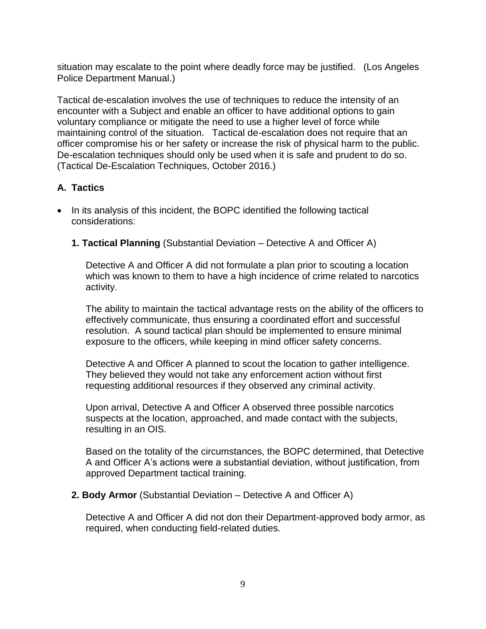situation may escalate to the point where deadly force may be justified. (Los Angeles Police Department Manual.)

Tactical de-escalation involves the use of techniques to reduce the intensity of an encounter with a Subject and enable an officer to have additional options to gain voluntary compliance or mitigate the need to use a higher level of force while maintaining control of the situation. Tactical de-escalation does not require that an officer compromise his or her safety or increase the risk of physical harm to the public. De-escalation techniques should only be used when it is safe and prudent to do so. (Tactical De-Escalation Techniques, October 2016.)

# **A. Tactics**

- In its analysis of this incident, the BOPC identified the following tactical considerations:
	- **1. Tactical Planning** (Substantial Deviation Detective A and Officer A)

Detective A and Officer A did not formulate a plan prior to scouting a location which was known to them to have a high incidence of crime related to narcotics activity.

The ability to maintain the tactical advantage rests on the ability of the officers to effectively communicate, thus ensuring a coordinated effort and successful resolution. A sound tactical plan should be implemented to ensure minimal exposure to the officers, while keeping in mind officer safety concerns.

Detective A and Officer A planned to scout the location to gather intelligence. They believed they would not take any enforcement action without first requesting additional resources if they observed any criminal activity.

Upon arrival, Detective A and Officer A observed three possible narcotics suspects at the location, approached, and made contact with the subjects, resulting in an OIS.

Based on the totality of the circumstances, the BOPC determined, that Detective A and Officer A's actions were a substantial deviation, without justification, from approved Department tactical training.

### **2. Body Armor** (Substantial Deviation – Detective A and Officer A)

Detective A and Officer A did not don their Department-approved body armor, as required, when conducting field-related duties.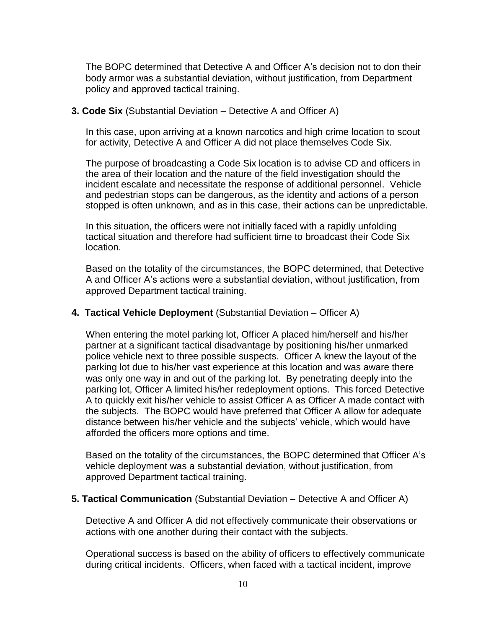The BOPC determined that Detective A and Officer A's decision not to don their body armor was a substantial deviation, without justification, from Department policy and approved tactical training.

#### **3. Code Six** (Substantial Deviation – Detective A and Officer A)

In this case, upon arriving at a known narcotics and high crime location to scout for activity, Detective A and Officer A did not place themselves Code Six.

The purpose of broadcasting a Code Six location is to advise CD and officers in the area of their location and the nature of the field investigation should the incident escalate and necessitate the response of additional personnel. Vehicle and pedestrian stops can be dangerous, as the identity and actions of a person stopped is often unknown, and as in this case, their actions can be unpredictable.

In this situation, the officers were not initially faced with a rapidly unfolding tactical situation and therefore had sufficient time to broadcast their Code Six location.

Based on the totality of the circumstances, the BOPC determined, that Detective A and Officer A's actions were a substantial deviation, without justification, from approved Department tactical training.

### **4. Tactical Vehicle Deployment** (Substantial Deviation – Officer A)

When entering the motel parking lot, Officer A placed him/herself and his/her partner at a significant tactical disadvantage by positioning his/her unmarked police vehicle next to three possible suspects. Officer A knew the layout of the parking lot due to his/her vast experience at this location and was aware there was only one way in and out of the parking lot. By penetrating deeply into the parking lot, Officer A limited his/her redeployment options. This forced Detective A to quickly exit his/her vehicle to assist Officer A as Officer A made contact with the subjects. The BOPC would have preferred that Officer A allow for adequate distance between his/her vehicle and the subjects' vehicle, which would have afforded the officers more options and time.

Based on the totality of the circumstances, the BOPC determined that Officer A's vehicle deployment was a substantial deviation, without justification, from approved Department tactical training.

#### **5. Tactical Communication** (Substantial Deviation – Detective A and Officer A)

Detective A and Officer A did not effectively communicate their observations or actions with one another during their contact with the subjects.

Operational success is based on the ability of officers to effectively communicate during critical incidents. Officers, when faced with a tactical incident, improve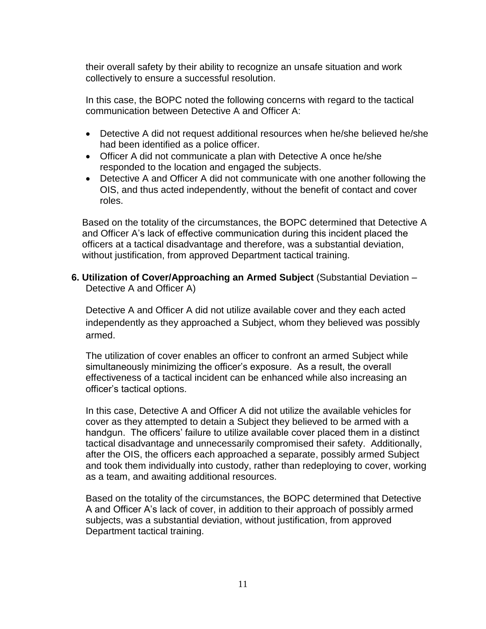their overall safety by their ability to recognize an unsafe situation and work collectively to ensure a successful resolution.

In this case, the BOPC noted the following concerns with regard to the tactical communication between Detective A and Officer A:

- Detective A did not request additional resources when he/she believed he/she had been identified as a police officer.
- Officer A did not communicate a plan with Detective A once he/she responded to the location and engaged the subjects.
- Detective A and Officer A did not communicate with one another following the OIS, and thus acted independently, without the benefit of contact and cover roles.

Based on the totality of the circumstances, the BOPC determined that Detective A and Officer A's lack of effective communication during this incident placed the officers at a tactical disadvantage and therefore, was a substantial deviation, without justification, from approved Department tactical training.

## **6. Utilization of Cover/Approaching an Armed Subject** (Substantial Deviation – Detective A and Officer A)

Detective A and Officer A did not utilize available cover and they each acted independently as they approached a Subject, whom they believed was possibly armed.

The utilization of cover enables an officer to confront an armed Subject while simultaneously minimizing the officer's exposure. As a result, the overall effectiveness of a tactical incident can be enhanced while also increasing an officer's tactical options.

In this case, Detective A and Officer A did not utilize the available vehicles for cover as they attempted to detain a Subject they believed to be armed with a handgun. The officers' failure to utilize available cover placed them in a distinct tactical disadvantage and unnecessarily compromised their safety. Additionally, after the OIS, the officers each approached a separate, possibly armed Subject and took them individually into custody, rather than redeploying to cover, working as a team, and awaiting additional resources.

Based on the totality of the circumstances, the BOPC determined that Detective A and Officer A's lack of cover, in addition to their approach of possibly armed subjects, was a substantial deviation, without justification, from approved Department tactical training.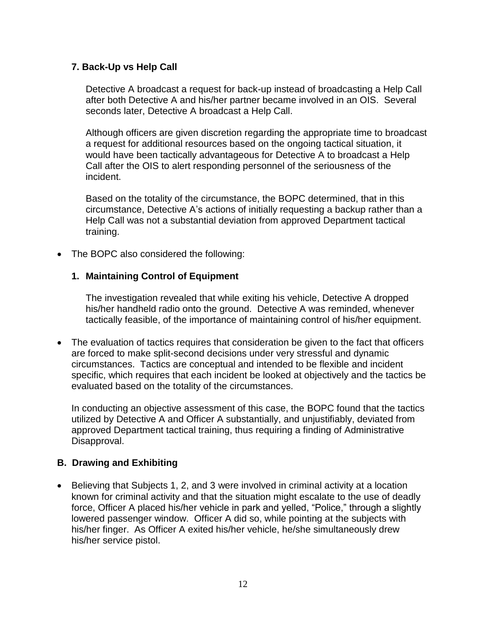## **7. Back-Up vs Help Call**

Detective A broadcast a request for back-up instead of broadcasting a Help Call after both Detective A and his/her partner became involved in an OIS. Several seconds later, Detective A broadcast a Help Call.

Although officers are given discretion regarding the appropriate time to broadcast a request for additional resources based on the ongoing tactical situation, it would have been tactically advantageous for Detective A to broadcast a Help Call after the OIS to alert responding personnel of the seriousness of the incident.

Based on the totality of the circumstance, the BOPC determined, that in this circumstance, Detective A's actions of initially requesting a backup rather than a Help Call was not a substantial deviation from approved Department tactical training.

• The BOPC also considered the following:

#### **1. Maintaining Control of Equipment**

The investigation revealed that while exiting his vehicle, Detective A dropped his/her handheld radio onto the ground. Detective A was reminded, whenever tactically feasible, of the importance of maintaining control of his/her equipment.

• The evaluation of tactics requires that consideration be given to the fact that officers are forced to make split-second decisions under very stressful and dynamic circumstances. Tactics are conceptual and intended to be flexible and incident specific, which requires that each incident be looked at objectively and the tactics be evaluated based on the totality of the circumstances.

In conducting an objective assessment of this case, the BOPC found that the tactics utilized by Detective A and Officer A substantially, and unjustifiably, deviated from approved Department tactical training, thus requiring a finding of Administrative Disapproval.

### **B. Drawing and Exhibiting**

• Believing that Subjects 1, 2, and 3 were involved in criminal activity at a location known for criminal activity and that the situation might escalate to the use of deadly force, Officer A placed his/her vehicle in park and yelled, "Police," through a slightly lowered passenger window. Officer A did so, while pointing at the subjects with his/her finger. As Officer A exited his/her vehicle, he/she simultaneously drew his/her service pistol.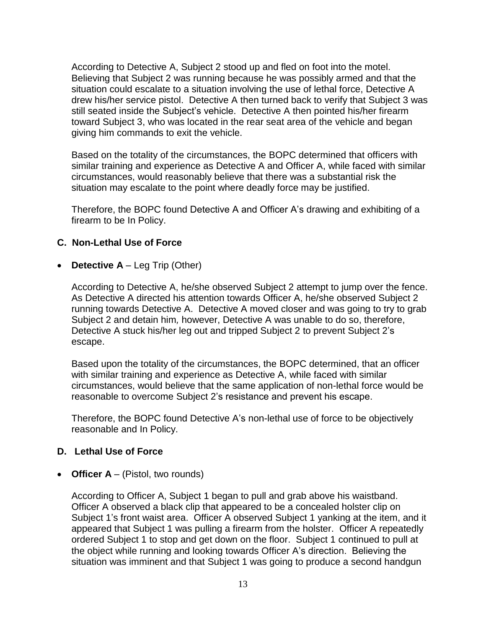According to Detective A, Subject 2 stood up and fled on foot into the motel. Believing that Subject 2 was running because he was possibly armed and that the situation could escalate to a situation involving the use of lethal force, Detective A drew his/her service pistol. Detective A then turned back to verify that Subject 3 was still seated inside the Subject's vehicle.Detective A then pointed his/her firearm toward Subject 3, who was located in the rear seat area of the vehicle and began giving him commands to exit the vehicle.

Based on the totality of the circumstances, the BOPC determined that officers with similar training and experience as Detective A and Officer A, while faced with similar circumstances, would reasonably believe that there was a substantial risk the situation may escalate to the point where deadly force may be justified.

Therefore, the BOPC found Detective A and Officer A's drawing and exhibiting of a firearm to be In Policy.

## **C. Non-Lethal Use of Force**

• **Detective A** – Leg Trip (Other)

According to Detective A, he/she observed Subject 2 attempt to jump over the fence. As Detective A directed his attention towards Officer A, he/she observed Subject 2 running towards Detective A. Detective A moved closer and was going to try to grab Subject 2 and detain him*,* however, Detective A was unable to do so, therefore, Detective A stuck his/her leg out and tripped Subject 2 to prevent Subject 2's escape.

Based upon the totality of the circumstances, the BOPC determined, that an officer with similar training and experience as Detective A, while faced with similar circumstances, would believe that the same application of non-lethal force would be reasonable to overcome Subject 2's resistance and prevent his escape.

Therefore, the BOPC found Detective A's non-lethal use of force to be objectively reasonable and In Policy.

### **D. Lethal Use of Force**

• **Officer A** – (Pistol, two rounds)

According to Officer A, Subject 1 began to pull and grab above his waistband. Officer A observed a black clip that appeared to be a concealed holster clip on Subject 1's front waist area. Officer A observed Subject 1 yanking at the item, and it appeared that Subject 1 was pulling a firearm from the holster. Officer A repeatedly ordered Subject 1 to stop and get down on the floor. Subject 1 continued to pull at the object while running and looking towards Officer A's direction. Believing the situation was imminent and that Subject 1 was going to produce a second handgun